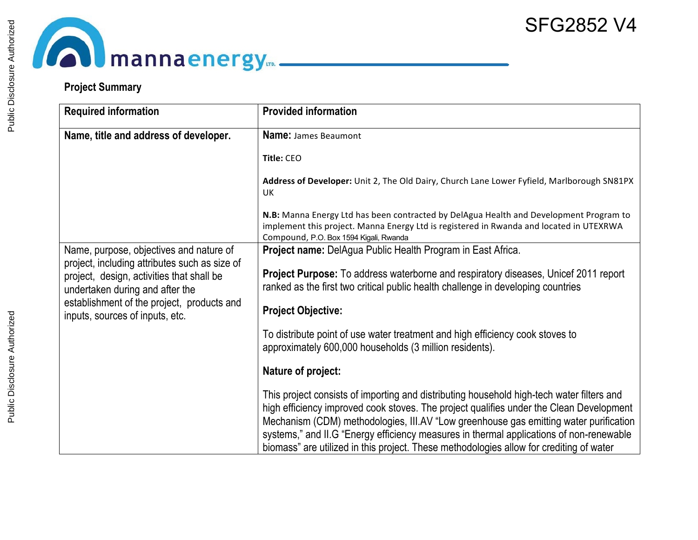# **Commandancergy.**

## **Project Summary**

| <b>Required information</b>                                                                                                   | <b>Provided information</b>                                                                                                                                                                                                                                                                                                                                                                                                                                         |
|-------------------------------------------------------------------------------------------------------------------------------|---------------------------------------------------------------------------------------------------------------------------------------------------------------------------------------------------------------------------------------------------------------------------------------------------------------------------------------------------------------------------------------------------------------------------------------------------------------------|
| Name, title and address of developer.                                                                                         | <b>Name: James Beaumont</b>                                                                                                                                                                                                                                                                                                                                                                                                                                         |
|                                                                                                                               | Title: CEO                                                                                                                                                                                                                                                                                                                                                                                                                                                          |
|                                                                                                                               | Address of Developer: Unit 2, The Old Dairy, Church Lane Lower Fyfield, Marlborough SN81PX<br><b>UK</b>                                                                                                                                                                                                                                                                                                                                                             |
|                                                                                                                               | N.B: Manna Energy Ltd has been contracted by DelAgua Health and Development Program to<br>implement this project. Manna Energy Ltd is registered in Rwanda and located in UTEXRWA<br>Compound, P.O. Box 1594 Kigali, Rwanda                                                                                                                                                                                                                                         |
| Name, purpose, objectives and nature of                                                                                       | Project name: DelAgua Public Health Program in East Africa.                                                                                                                                                                                                                                                                                                                                                                                                         |
| project, including attributes such as size of<br>project, design, activities that shall be<br>undertaken during and after the | Project Purpose: To address waterborne and respiratory diseases, Unicef 2011 report<br>ranked as the first two critical public health challenge in developing countries                                                                                                                                                                                                                                                                                             |
| establishment of the project, products and<br>inputs, sources of inputs, etc.                                                 | <b>Project Objective:</b>                                                                                                                                                                                                                                                                                                                                                                                                                                           |
|                                                                                                                               | To distribute point of use water treatment and high efficiency cook stoves to<br>approximately 600,000 households (3 million residents).                                                                                                                                                                                                                                                                                                                            |
|                                                                                                                               | Nature of project:                                                                                                                                                                                                                                                                                                                                                                                                                                                  |
|                                                                                                                               | This project consists of importing and distributing household high-tech water filters and<br>high efficiency improved cook stoves. The project qualifies under the Clean Development<br>Mechanism (CDM) methodologies, III.AV "Low greenhouse gas emitting water purification<br>systems," and II.G "Energy efficiency measures in thermal applications of non-renewable<br>biomass" are utilized in this project. These methodologies allow for crediting of water |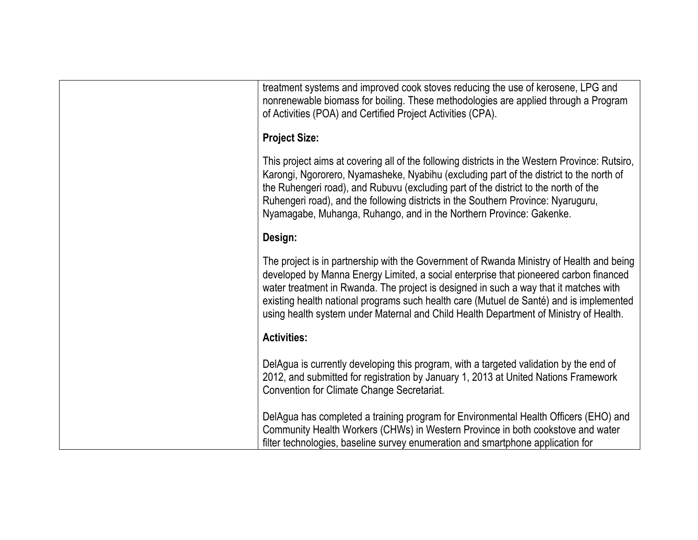treatment systems and improved cook stoves reducing the use of kerosene, LPG and nonrenewable biomass for boiling. These methodologies are applied through a Program of Activities (POA) and Certified Project Activities (CPA).

#### **Project Size:**

This project aims at covering all of the following districts in the Western Province: Rutsiro, Karongi, Ngororero, Nyamasheke, Nyabihu (excluding part of the district to the north of the Ruhengeri road), and Rubuvu (excluding part of the district to the north of the Ruhengeri road), and the following districts in the Southern Province: Nyaruguru, Nyamagabe, Muhanga, Ruhango, and in the Northern Province: Gakenke.

## **Design:**

The project is in partnership with the Government of Rwanda Ministry of Health and being developed by Manna Energy Limited, a social enterprise that pioneered carbon financed water treatment in Rwanda. The project is designed in such a way that it matches with existing health national programs such health care (Mutuel de Santé) and is implemented using health system under Maternal and Child Health Department of Ministry of Health.

## **Activities:**

DelAgua is currently developing this program, with a targeted validation by the end of 2012, and submitted for registration by January 1, 2013 at United Nations Framework Convention for Climate Change Secretariat.

DelAgua has completed a training program for Environmental Health Officers (EHO) and Community Health Workers (CHWs) in Western Province in both cookstove and water filter technologies, baseline survey enumeration and smartphone application for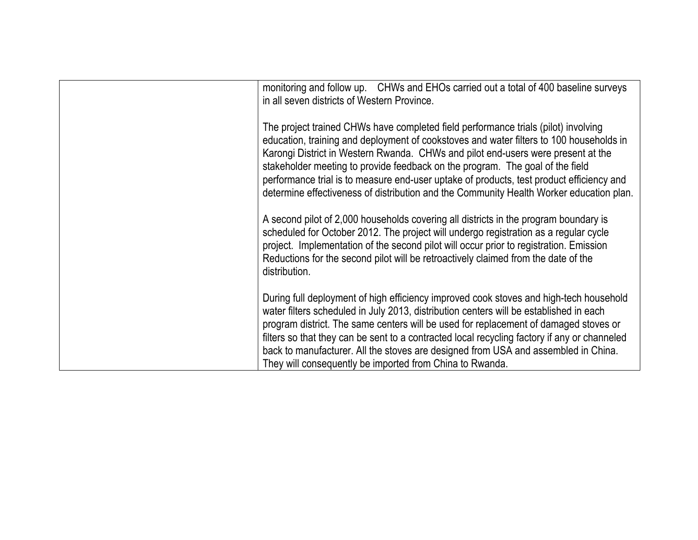| monitoring and follow up. CHWs and EHOs carried out a total of 400 baseline surveys<br>in all seven districts of Western Province.                                                                                                                                                                                                                                                                                                                                                                                                        |
|-------------------------------------------------------------------------------------------------------------------------------------------------------------------------------------------------------------------------------------------------------------------------------------------------------------------------------------------------------------------------------------------------------------------------------------------------------------------------------------------------------------------------------------------|
| The project trained CHWs have completed field performance trials (pilot) involving<br>education, training and deployment of cookstoves and water filters to 100 households in<br>Karongi District in Western Rwanda. CHWs and pilot end-users were present at the<br>stakeholder meeting to provide feedback on the program. The goal of the field<br>performance trial is to measure end-user uptake of products, test product efficiency and<br>determine effectiveness of distribution and the Community Health Worker education plan. |
| A second pilot of 2,000 households covering all districts in the program boundary is<br>scheduled for October 2012. The project will undergo registration as a regular cycle<br>project. Implementation of the second pilot will occur prior to registration. Emission<br>Reductions for the second pilot will be retroactively claimed from the date of the<br>distribution.                                                                                                                                                             |
| During full deployment of high efficiency improved cook stoves and high-tech household<br>water filters scheduled in July 2013, distribution centers will be established in each<br>program district. The same centers will be used for replacement of damaged stoves or<br>filters so that they can be sent to a contracted local recycling factory if any or channeled<br>back to manufacturer. All the stoves are designed from USA and assembled in China.<br>They will consequently be imported from China to Rwanda.                |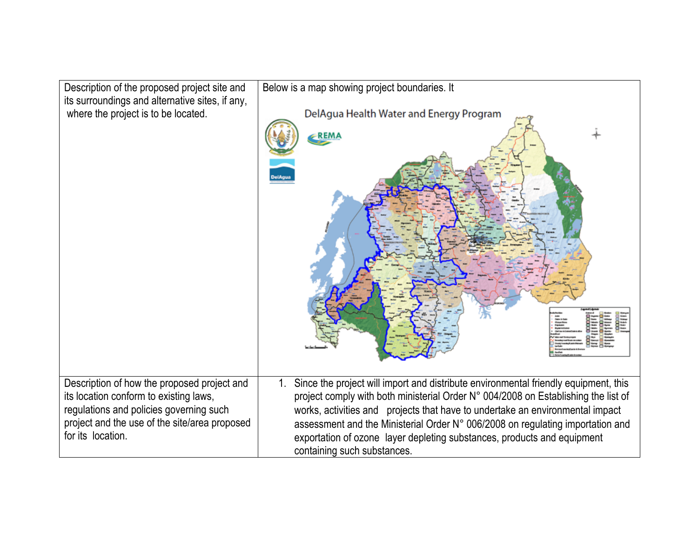| Description of the proposed project site and                                                                                                                                                           | Below is a map showing project boundaries. It                                                                                                                                                                                                                                                                                                                                                                                                                |
|--------------------------------------------------------------------------------------------------------------------------------------------------------------------------------------------------------|--------------------------------------------------------------------------------------------------------------------------------------------------------------------------------------------------------------------------------------------------------------------------------------------------------------------------------------------------------------------------------------------------------------------------------------------------------------|
| its surroundings and alternative sites, if any,                                                                                                                                                        | DelAgua Health Water and Energy Program                                                                                                                                                                                                                                                                                                                                                                                                                      |
| where the project is to be located.                                                                                                                                                                    | REMA                                                                                                                                                                                                                                                                                                                                                                                                                                                         |
| Description of how the proposed project and<br>its location conform to existing laws,<br>regulations and policies governing such<br>project and the use of the site/area proposed<br>for its location. | Since the project will import and distribute environmental friendly equipment, this<br>1.<br>project comply with both ministerial Order N° 004/2008 on Establishing the list of<br>works, activities and projects that have to undertake an environmental impact<br>assessment and the Ministerial Order N° 006/2008 on regulating importation and<br>exportation of ozone layer depleting substances, products and equipment<br>containing such substances. |